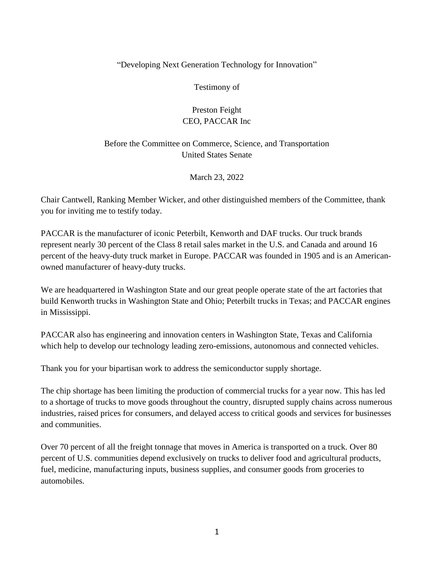## "Developing Next Generation Technology for Innovation"

Testimony of

## Preston Feight CEO, PACCAR Inc

## Before the Committee on Commerce, Science, and Transportation United States Senate

March 23, 2022

Chair Cantwell, Ranking Member Wicker, and other distinguished members of the Committee, thank you for inviting me to testify today.

PACCAR is the manufacturer of iconic Peterbilt, Kenworth and DAF trucks. Our truck brands represent nearly 30 percent of the Class 8 retail sales market in the U.S. and Canada and around 16 percent of the heavy-duty truck market in Europe. PACCAR was founded in 1905 and is an Americanowned manufacturer of heavy-duty trucks.

We are headquartered in Washington State and our great people operate state of the art factories that build Kenworth trucks in Washington State and Ohio; Peterbilt trucks in Texas; and PACCAR engines in Mississippi.

PACCAR also has engineering and innovation centers in Washington State, Texas and California which help to develop our technology leading zero-emissions, autonomous and connected vehicles.

Thank you for your bipartisan work to address the semiconductor supply shortage.

The chip shortage has been limiting the production of commercial trucks for a year now. This has led to a shortage of trucks to move goods throughout the country, disrupted supply chains across numerous industries, raised prices for consumers, and delayed access to critical goods and services for businesses and communities.

Over 70 percent of all the freight tonnage that moves in America is transported on a truck. Over 80 percent of U.S. communities depend exclusively on trucks to deliver food and agricultural products, fuel, medicine, manufacturing inputs, business supplies, and consumer goods from groceries to automobiles.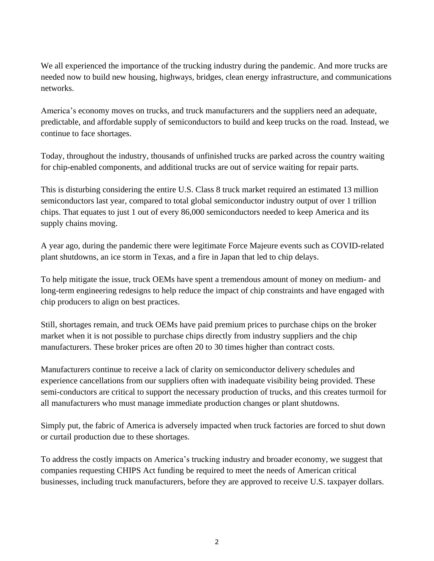We all experienced the importance of the trucking industry during the pandemic. And more trucks are needed now to build new housing, highways, bridges, clean energy infrastructure, and communications networks.

America's economy moves on trucks, and truck manufacturers and the suppliers need an adequate, predictable, and affordable supply of semiconductors to build and keep trucks on the road. Instead, we continue to face shortages.

Today, throughout the industry, thousands of unfinished trucks are parked across the country waiting for chip-enabled components, and additional trucks are out of service waiting for repair parts.

This is disturbing considering the entire U.S. Class 8 truck market required an estimated 13 million semiconductors last year, compared to total global semiconductor industry output of over 1 trillion chips. That equates to just 1 out of every 86,000 semiconductors needed to keep America and its supply chains moving.

A year ago, during the pandemic there were legitimate Force Majeure events such as COVID-related plant shutdowns, an ice storm in Texas, and a fire in Japan that led to chip delays.

To help mitigate the issue, truck OEMs have spent a tremendous amount of money on medium- and long-term engineering redesigns to help reduce the impact of chip constraints and have engaged with chip producers to align on best practices.

Still, shortages remain, and truck OEMs have paid premium prices to purchase chips on the broker market when it is not possible to purchase chips directly from industry suppliers and the chip manufacturers. These broker prices are often 20 to 30 times higher than contract costs.

Manufacturers continue to receive a lack of clarity on semiconductor delivery schedules and experience cancellations from our suppliers often with inadequate visibility being provided. These semi-conductors are critical to support the necessary production of trucks, and this creates turmoil for all manufacturers who must manage immediate production changes or plant shutdowns.

Simply put, the fabric of America is adversely impacted when truck factories are forced to shut down or curtail production due to these shortages.

To address the costly impacts on America's trucking industry and broader economy, we suggest that companies requesting CHIPS Act funding be required to meet the needs of American critical businesses, including truck manufacturers, before they are approved to receive U.S. taxpayer dollars.